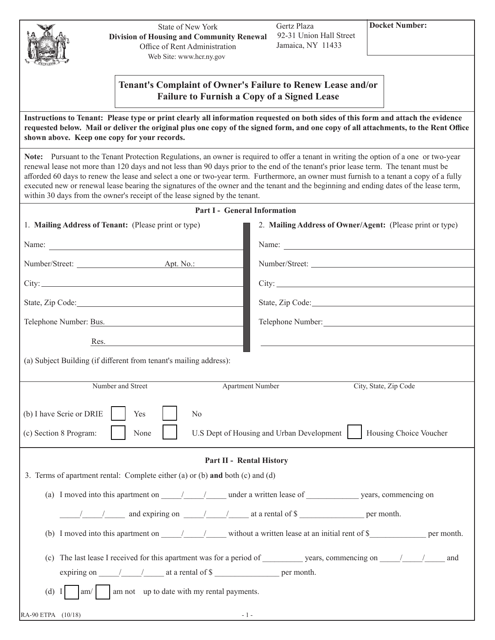| Δ         |
|-----------|
| EXCELSION |

State of New York **Division of Housing and Community Renewal** Office of Rent Administration Web Site: www.hcr.ny.gov

**Docket Number:**

| Tenant's Complaint of Owner's Failure to Renew Lease and/or |
|-------------------------------------------------------------|
| <b>Failure to Furnish a Copy of a Signed Lease</b>          |

**Instructions to Tenant: Please type or print clearly all information requested on both sides of this form and attach the evidence requested below. Mail or deliver the original plus one copy of the signed form, and one copy of all attachments, to the Rent Office shown above. Keep one copy for your records.**

**Note:** Pursuant to the Tenant Protection Regulations, an owner is required to offer a tenant in writing the option of a one or two-year renewal lease not more than 120 days and not less than 90 days prior to the end of the tenant's prior lease term. The tenant must be afforded 60 days to renew the lease and select a one or two-year term. Furthermore, an owner must furnish to a tenant a copy of a fully executed new or renewal lease bearing the signatures of the owner and the tenant and the beginning and ending dates of the lease term, within 30 days from the owner's receipt of the lease signed by the tenant.

**Part I - General Information**

| 1. Mailing Address of Tenant: (Please print or type)                                                                                                       | 2. Mailing Address of Owner/Agent: (Please print or type)                                                      |  |
|------------------------------------------------------------------------------------------------------------------------------------------------------------|----------------------------------------------------------------------------------------------------------------|--|
| Name:                                                                                                                                                      | Name:                                                                                                          |  |
|                                                                                                                                                            | Number/Street:                                                                                                 |  |
| City: City:                                                                                                                                                |                                                                                                                |  |
|                                                                                                                                                            | State, Zip Code: 2000 and 2000 and 2000 and 2000 and 2000 and 2000 and 2000 and 2000 and 2000 and 2000 and 200 |  |
| Telephone Number: Bus.                                                                                                                                     |                                                                                                                |  |
| Res.                                                                                                                                                       |                                                                                                                |  |
| (a) Subject Building (if different from tenant's mailing address):                                                                                         |                                                                                                                |  |
| Number and Street                                                                                                                                          | <b>Apartment Number</b><br>City, State, Zip Code                                                               |  |
| (b) I have Scrie or DRIE<br>Yes<br>N <sub>o</sub><br>U.S Dept of Housing and Urban Development<br>Housing Choice Voucher<br>(c) Section 8 Program:<br>None |                                                                                                                |  |
| Part II - Rental History                                                                                                                                   |                                                                                                                |  |
| 3. Terms of apartment rental: Complete either (a) or (b) and both (c) and (d)                                                                              |                                                                                                                |  |
| (a) I moved into this apartment on 11 1 1 under a written lease of years, commencing on                                                                    |                                                                                                                |  |
| $\frac{1}{\sqrt{1-\frac{1}{2}}}$ and expiring on $\frac{1}{\sqrt{1-\frac{1}{2}}}$ at a rental of \$                                                        |                                                                                                                |  |
| (b) I moved into this apartment on $\frac{1}{\sqrt{1-\frac{1}{n}}}$ without a written lease at an initial rent of \$                                       |                                                                                                                |  |
| and<br>expiring on $\frac{1}{\sqrt{2}}$ at a rental of \$                                                                                                  |                                                                                                                |  |
| (d) $I$<br>am not up to date with my rental payments.<br>am/                                                                                               |                                                                                                                |  |
| RA-90 ETPA (10/18)                                                                                                                                         | $-1-$                                                                                                          |  |